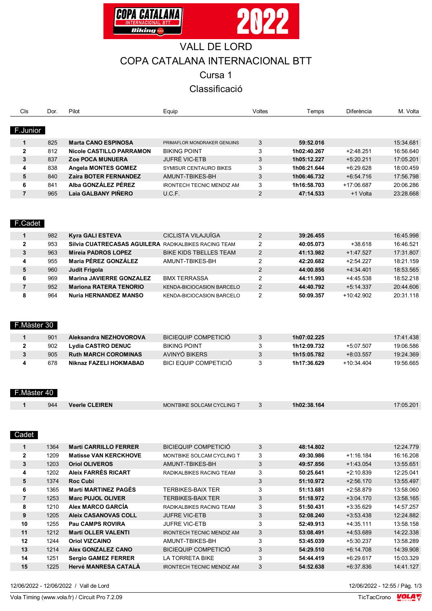



# VALL DE LORD COPA CATALANA INTERNACIONAL BTT

Cursa 1

## Classificació

| Cls                     | Dor. | Pilot                                                | Equip                            | Voltes         | Temps       | Diferència   | M. Volta  |
|-------------------------|------|------------------------------------------------------|----------------------------------|----------------|-------------|--------------|-----------|
|                         |      |                                                      |                                  |                |             |              |           |
| F.Junior                |      |                                                      |                                  |                |             |              |           |
| $\mathbf{1}$            | 825  | <b>Marta CANO ESPINOSA</b>                           | PRIMAFLOR MONDRAKER GENUINS      | 3              | 59:52.016   |              | 15:34.681 |
| 2                       | 812  | Nicole CASTILLO PARRAMON                             | <b>BIKING POINT</b>              | 3              | 1h02:40.267 | $+2:48.251$  | 16:56.640 |
| 3                       | 837  | <b>Zoe POCA MUNUERA</b>                              | JUFRÉ VIC-ETB                    | 3              | 1h05:12.227 | $+5:20.211$  | 17:05.201 |
| 4                       | 838  | <b>Angela MONTES GOMEZ</b>                           | SYMISUR CENTAURO BIKES           | 3              | 1h06:21.644 | $+6.29.628$  | 18:00.459 |
| 5                       | 840  | <b>Zaira BOTER FERNANDEZ</b>                         | AMUNT-TBIKES-BH                  | 3              | 1h06:46.732 | $+6.54.716$  | 17:56.798 |
| 6                       | 841  | Alba GONZÁLEZ PÉREZ                                  | <b>IRONTECH TECNIC MENDIZ AM</b> | 3              | 1h16:58.703 | +17:06.687   | 20:06.286 |
| $\overline{\mathbf{r}}$ | 965  | Laia GALBANY PIÑERO                                  | U.C.F.                           | 2              | 47:14.533   | +1 Volta     | 23:28.668 |
|                         |      |                                                      |                                  |                |             |              |           |
|                         |      |                                                      |                                  |                |             |              |           |
|                         |      |                                                      |                                  |                |             |              |           |
| F.Cadet                 |      |                                                      |                                  |                |             |              |           |
| 1                       | 982  | Kyra GALI ESTEVA                                     | CICLISTA VILAJUÏGA               | 2              | 39:26.455   |              | 16:45.998 |
| $\overline{2}$          | 953  | Silvia CUATRECASAS AGUILERA RADIKALBIKES RACING TEAM |                                  | 2              | 40:05.073   | $+38.618$    | 16:46.521 |
| 3                       | 963  | <b>Mireia PADROS LOPEZ</b>                           | <b>BIKE KIDS TBELLES TEAM</b>    | 2              | 41:13.982   | $+1:47.527$  | 17:31.807 |
| 4                       | 955  | Maria PÉREZ GONZÁLEZ                                 | AMUNT-TBIKES-BH                  | $\overline{2}$ | 42:20.682   | $+2:54.227$  | 18:21.159 |
| 5                       | 960  | <b>Judit Frigola</b>                                 |                                  | 2              | 44:00.856   | $+4.34.401$  | 18:53.565 |
| 6                       | 969  | <b>Marina JAVIERRE GONZALEZ</b>                      | <b>BMX TERRASSA</b>              | 2              | 44:11.993   | $+4:45.538$  | 18:52.218 |
| $\overline{7}$          | 952  | <b>Mariona RATERA TENORIO</b>                        | KENDA-BICIOCASION BARCELO        | 2              | 44:40.792   | $+5:14.337$  | 20:44.606 |
| 8                       | 964  | <b>Nuria HERNANDEZ MANSO</b>                         | KENDA-BICIOCASION BARCELO        | $\overline{2}$ | 50:09.357   | +10:42.902   | 20:31.118 |
|                         |      |                                                      |                                  |                |             |              |           |
|                         |      |                                                      |                                  |                |             |              |           |
|                         |      |                                                      |                                  |                |             |              |           |
| F.Màster 30             |      |                                                      |                                  |                |             |              |           |
| $\mathbf{1}$            | 901  | Aleksandra NEZHOVOROVA                               | <b>BICIEQUIP COMPETICIÓ</b>      | 3              | 1h07:02.225 |              | 17:41.438 |
| $\overline{2}$          | 902  | <b>Lydia CASTRO DENUC</b>                            | <b>BIKING POINT</b>              | 3              | 1h12:09.732 | $+5:07.507$  | 19:06.586 |
| 3                       | 905  | <b>Ruth MARCH COROMINAS</b>                          | AVINYÓ BIKERS                    | 3              | 1h15:05.782 | $+8.03.557$  | 19:24.369 |
| 4                       | 678  | Niknaz FAZELI HOKMABAD                               | <b>BICI EQUIP COMPETICIÓ</b>     | 3              | 1h17:36.629 | $+10.34.404$ | 19:56.665 |
|                         |      |                                                      |                                  |                |             |              |           |
|                         |      |                                                      |                                  |                |             |              |           |
| F.Màster 40             |      |                                                      |                                  |                |             |              |           |
|                         |      |                                                      |                                  |                |             |              |           |
| 1                       | 944  | <b>Veerle CLEIREN</b>                                | MONTBIKE SOLCAM CYCLING T        | 3              | 1h02:38.164 |              | 17:05.201 |
|                         |      |                                                      |                                  |                |             |              |           |
|                         |      |                                                      |                                  |                |             |              |           |
| Cadet                   |      |                                                      |                                  |                |             |              |           |
|                         |      |                                                      |                                  |                |             |              |           |
| $\mathbf{1}$            | 1364 | <b>Marti CARRILLO FERRER</b>                         | <b>BICIEQUIP COMPETICIÓ</b>      | 3              | 48:14.802   |              | 12:24.779 |
| 2                       | 1209 | <b>Matisse VAN KERCKHOVE</b>                         | MONTBIKE SOLCAM CYCLING T        | 3              | 49:30.986   | $+1:16.184$  | 16:16.208 |
| 3                       | 1203 | <b>Oriol OLIVEROS</b>                                | AMUNT-TBIKES-BH                  | 3              | 49:57.856   | $+1.43.054$  | 13:55.651 |
| 4                       | 1202 | <b>Aleix FARRÉS RICART</b>                           | RADIKALBIKES RACING TEAM         | 3              | 50:25.641   | $+2:10.839$  | 12:25.041 |
| 5                       | 1374 | <b>Roc Cubi</b><br><b>Martí MARTINEZ PAGÈS</b>       |                                  | $\mathfrak{S}$ | 51:10.972   | $+2:56.170$  | 13:55.497 |
| 6                       | 1365 |                                                      | <b>TERBIKES-BAIX TER</b>         | 3              | 51:13.681   | $+2:58.879$  | 13:58.060 |
| 7                       | 1253 | <b>Marc PUJOL OLIVER</b>                             | <b>TERBIKES-BAIX TER</b>         | $\mathfrak{S}$ | 51:18.972   | $+3:04.170$  | 13:58.165 |
| 8                       | 1210 | Alex MARCO GARCÍA                                    | RADIKALBIKES RACING TEAM         | 3              | 51:50.431   | $+3:35.629$  | 14:57.257 |
| 9                       | 1205 | <b>Aleix CASANOVAS COLL</b>                          | <b>JUFRE VIC-ETB</b>             | $\mathfrak{S}$ | 52:08.240   | $+3:53.438$  | 12:24.882 |
| 10                      | 1255 | <b>Pau CAMPS ROVIRA</b>                              | <b>JUFRE VIC-ETB</b>             | 3              | 52:49.913   | $+4:35.111$  | 13:58.158 |
| 11                      | 1212 | <b>Marti OLLER VALENTI</b>                           | <b>IRONTECH TECNIC MENDIZ AM</b> | $\mathfrak{S}$ | 53:08.491   | +4:53.689    | 14:22.338 |
| 12                      | 1244 | <b>Oriol VIZCAINO</b>                                | AMUNT-TBIKES-BH                  | 3              | 53:45.039   | $+5:30.237$  | 13:58.289 |
| 13                      | 1214 | Alex GONZALEZ CANO                                   | <b>BICIEQUIP COMPETICIO</b>      | 3              | 54:29.510   | $+6:14.708$  | 14:39.908 |
| 14                      | 1251 | <b>Sergio GAMEZ FERRER</b>                           | LA TORRETA BIKE                  | 3              | 54:44.419   | $+6:29.617$  | 15:03.329 |
| 15                      | 1225 | <b>Hervé MANRESA CATALA</b>                          | <b>IRONTECH TECNIC MENDIZ AM</b> | 3              | 54:52.638   | $+6:37.836$  | 14:41.127 |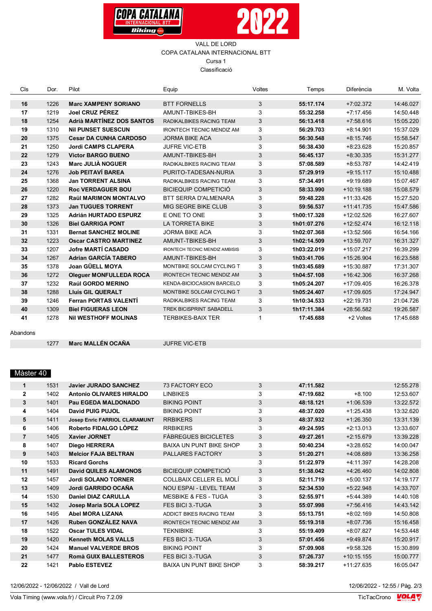



#### VALL DE LORD COPA CATALANA INTERNACIONAL BTT Cursa 1 Classificació

| Cls | Dor. | Pilot                          | Equip                                 | Voltes       | Temps       | Diferència   | M. Volta  |
|-----|------|--------------------------------|---------------------------------------|--------------|-------------|--------------|-----------|
| 16  | 1226 | <b>Marc XAMPENY SORIANO</b>    | <b>BTT FORNELLS</b>                   | 3            | 55:17.174   | $+7:02.372$  | 14:46.027 |
| 17  | 1219 | Joel CRUZ PÉREZ                | AMUNT-TBIKES-BH                       | 3            | 55:32.258   | $+7:17.456$  | 14:50.448 |
| 18  | 1254 | Adrià MARTÍNEZ DOS SANTOS      | RADIKALBIKES RACING TEAM              | 3            | 56:13.418   | $+7:58.616$  | 15:05.220 |
| 19  | 1310 | <b>Nil PUNSET SUESCUN</b>      | <b>IRONTECH TECNIC MENDIZ AM</b>      | 3            | 56:29.703   | $+8:14.901$  | 15:37.029 |
| 20  | 1375 | <b>Cesar DA CUNHA CARDOSO</b>  | <b>JORMA BIKE ACA</b>                 | 3            | 56:30.548   | $+8:15.746$  | 15:58.547 |
| 21  | 1250 | <b>Jordi CAMPS CLAPERA</b>     | <b>JUFRE VIC-ETB</b>                  | 3            | 56:38.430   | $+8:23.628$  | 15:20.857 |
| 22  | 1279 | <b>Victor BARGO BUENO</b>      | AMUNT-TBIKES-BH                       | 3            | 56:45.137   | $+8.30.335$  | 15:31.277 |
| 23  | 1243 | <b>Marc JULIÀ NOGUER</b>       | RADIKALBIKES RACING TEAM              | 3            | 57:08.589   | $+8.53.787$  | 14:42.419 |
| 24  | 1276 | <b>Job PEITAVÍ BAREA</b>       | PURITO-TADESAN-NURIA                  | 3            | 57:29.919   | $+9:15.117$  | 15:10.488 |
| 25  | 1368 | <b>Jan TORRENT ALSINA</b>      | RADIKALBIKES RACING TEAM              | 3            | 57:34.491   | $+9.19.689$  | 15:07.467 |
| 26  | 1220 | <b>Roc VERDAGUER BOU</b>       | <b>BICIEQUIP COMPETICIÓ</b>           | 3            | 58:33.990   | $+10:19.188$ | 15:08.579 |
| 27  | 1282 | <b>Raül MARIMON MONTALVO</b>   | BTT SERRA D'ALMENARA                  | 3            | 59:48.228   | $+11:33.426$ | 15:27.520 |
| 28  | 1373 | <b>Jan TUGUES TORRENT</b>      | MIG SEGRE BIKE CLUB                   | 3            | 59:56.537   | $+11:41.735$ | 15:47.586 |
| 29  | 1325 | <b>Adrián HURTADO ESPURZ</b>   | E ONE TO ONE                          | 3            | 1h00:17.328 | +12:02.526   | 16:27.607 |
| 30  | 1326 | <b>Biel GARRIGA PONT</b>       | LA TORRETA BIKE                       | 3            | 1h01:07.276 | $+12:52.474$ | 16:12.118 |
| 31  | 1331 | <b>Bernat SANCHEZ MOLINE</b>   | <b>JORMA BIKE ACA</b>                 | 3            | 1h02:07.368 | +13:52.566   | 16:54.166 |
| 32  | 1223 | <b>Oscar CASTRO MARTINEZ</b>   | AMUNT-TBIKES-BH                       | 3            | 1h02:14.509 | +13:59.707   | 16:31.327 |
| 33  | 1207 | <b>Jofre MARTÍ CASADO</b>      | <b>IRONTECH TECNIC MENDIZ AMBISIS</b> | 3            | 1h03:22.019 | +15:07.217   | 16:39.299 |
| 34  | 1267 | <b>Adrian GARCÍA TABERO</b>    | AMUNT-TBIKES-BH                       | 3            | 1h03:41.706 | $+15:26.904$ | 16:23.588 |
| 35  | 1378 | <b>Joan GÜELL MOYA</b>         | MONTBIKE SOLCAM CYCLING T             | 3            | 1h03:45.689 | +15:30.887   | 17:31.307 |
| 36  | 1272 | <b>Oleguer MONFULLEDA ROCA</b> | <b>IRONTECH TECNIC MENDIZ AM</b>      | 3            | 1h04:57.108 | $+16:42.306$ | 16:37.268 |
| 37  | 1232 | Raúl GORDO MERINO              | KENDA-BICIOCASION BARCELO             | 3            | 1h05:24.207 | $+17:09.405$ | 16:26.378 |
| 38  | 1288 | <b>Lluís GIL QUERALT</b>       | MONTBIKE SOLCAM CYCLING T             | 3            | 1h05:24.407 | +17:09.605   | 17:24.947 |
| 39  | 1246 | <b>Ferran PORTAS VALENTÍ</b>   | RADIKALBIKES RACING TEAM              | 3            | 1h10:34.533 | $+22:19.731$ | 21:04.726 |
| 40  | 1309 | <b>Biel FIGUERAS LEON</b>      | TREK BICISPRINT SABADELL              | $\mathbf{3}$ | 1h17:11.384 | +28:56.582   | 19:26.587 |
| 41  | 1278 | <b>NII WESTHOFF MOLINAS</b>    | <b>TERBIKES-BAIX TER</b>              | 1            | 17:45.688   | +2 Voltes    | 17:45.688 |

Abandons

1277 **Marc MALLÉN OCAÑA**  **JUFRE VIC-ETB** 

## Màster 40

| 1              | 1531 | <b>Javier JURADO SANCHEZ</b>    | 73 FACTORY ECO                   | 3 | 47:11.582 |              | 12:55.278 |
|----------------|------|---------------------------------|----------------------------------|---|-----------|--------------|-----------|
| $\mathbf{2}$   | 1402 | <b>Antonio OLIVARES HIRALDO</b> | <b>LINBIKES</b>                  | 3 | 47:19.682 | $+8.100$     | 12:53.607 |
| 3              | 1401 | Pau EGEDA MALDONADO             | <b>BIKING POINT</b>              | 3 | 48:18.121 | $+1:06.539$  | 13:22.572 |
| 4              | 1404 | <b>David PUIG PUJOL</b>         | <b>BIKING POINT</b>              | 3 | 48:37.020 | $+1.25.438$  | 13:32.620 |
| 5              | 1411 | Josep Enric FARRIOL CLARAMUNT   | <b>RRBIKERS</b>                  | 3 | 48:37.932 | $+1:26.350$  | 13:31.139 |
| 6              | 1406 | Roberto FIDALGO LÓPEZ           | <b>RRBIKERS</b>                  | 3 | 49:24.595 | $+2:13.013$  | 13:33.607 |
| $\overline{7}$ | 1405 | <b>Xavier JORNET</b>            | <b>FÀBREGUES BICICLETES</b>      | 3 | 49:27.261 | $+2:15.679$  | 13:39.228 |
| 8              | 1407 | Diego HERRERA                   | <b>BAIXA UN PUNT BIKE SHOP</b>   | 3 | 50:40.234 | $+3:28.652$  | 14:00.047 |
| 9              | 1403 | <b>Melcior FAJA BELTRAN</b>     | PALLARES FACTORY                 | 3 | 51:20.271 | +4:08.689    | 13:36.258 |
| 10             | 1533 | <b>Ricard Gorchs</b>            |                                  | 3 | 51:22.979 | $+4:11.397$  | 14:28.208 |
| 11             | 1491 | <b>David QUILES ALAMONOS</b>    | <b>BICIEQUIP COMPETICIÓ</b>      | 3 | 51:38.042 | $+4:26.460$  | 14:02.808 |
| 12             | 1457 | <b>Jordi SOLANO TORNER</b>      | <b>COLLBAIX CELLER EL MOLÍ</b>   | 3 | 52:11.719 | $+5:00.137$  | 14:19.177 |
| 13             | 1409 | Jordi GARRIDO OCAÑA             | <b>NOU ESPAI - LEVEL TEAM</b>    | 3 | 52:34.530 | $+5:22.948$  | 14:33.707 |
| 14             | 1530 | <b>Daniel DIAZ CARULLA</b>      | <b>MESBIKE &amp; FES - TUGA</b>  | 3 | 52:55.971 | $+5:44.389$  | 14:40.108 |
| 15             | 1432 | Josep Maria SOLA LOPEZ          | <b>FES BICI 3.-TUGA</b>          | 3 | 55:07.998 | $+7:56.416$  | 14:43.142 |
| 16             | 1495 | <b>Abel MORA LIZANA</b>         | ADDICT BIKES RACING TEAM         | 3 | 55:13.751 | $+8:02.169$  | 14:50.808 |
| 17             | 1426 | Ruben GONZÁLEZ NAVA             | <b>IRONTECH TECNIC MENDIZ AM</b> | 3 | 55:19.318 | $+8.07.736$  | 15:16.458 |
| 18             | 1522 | <b>Oscar TULES VIDAL</b>        | <b>TEKNIBIKE</b>                 | 3 | 55:19.409 | +8:07.827    | 14:53.448 |
| 19             | 1420 | <b>Kenneth MOLAS VALLS</b>      | <b>FES BICI 3.-TUGA</b>          | 3 | 57:01.456 | $+9.49.874$  | 15:20.917 |
| 20             | 1424 | <b>Manuel VALVERDE BROS</b>     | <b>BIKING POINT</b>              | 3 | 57:09.908 | $+9.58.326$  | 15:30.899 |
| 21             | 1477 | <b>Romà GUIX BALLESTEROS</b>    | FES BICI 3.-TUGA                 | 3 | 57:26.737 | $+10:15.155$ | 15:00.777 |
| 22             | 1421 | <b>Pablo ESTEVEZ</b>            | <b>BAIXA UN PUNT BIKE SHOP</b>   | 3 | 58:39.217 | $+11:27.635$ | 16:05.047 |
|                |      |                                 |                                  |   |           |              |           |